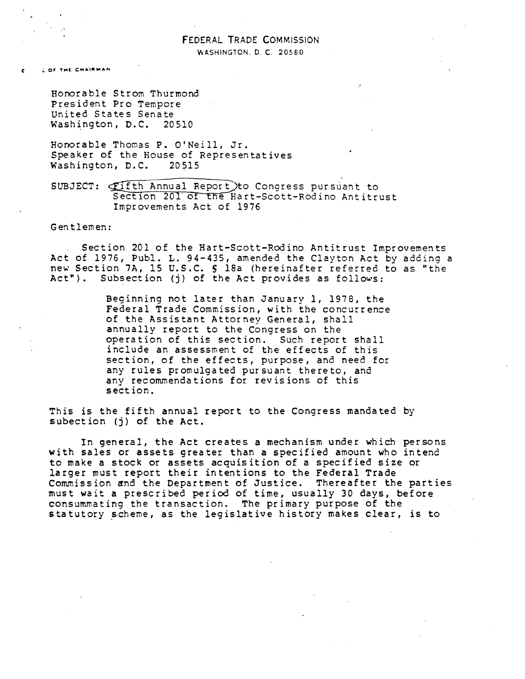# FEDERAL TRADE COMMISSION WASHINGTON. D. C. 20560

**LOF THE CHAIRMAN** 

Honorable Strom Thurmond President Pro Tempore United States Senate Washington, D.C. 20510

Honorable Thomas P. O'Neill, Jr. Speaker of the House of Representatives Washington, D.C. 20515

SUBJECT: **Fifth Annual Report** to Congress pursuant to Section 201 of the Hart-Scott-Rodino Antitrust Improvements Act of 1976

Gentlemen:

Section 201 of the Hart-Scott-Rodino Antitrust Improvements Act of 1976, Publ. L. 94-435, amended the Clayton Act by adding a new Section 7A, 15 U.S.C. § 18a (hereinafter referred to as "the Act"). Subsection (j) of the Act provides as follows:

> Beginning not later than January 1, 1978, the Federal Trade Commission, with the concurrence of the Assistant Attorney General, shall annually report to the Congress on the operation of this section. Such report shall include an assessment of the effects of this section, of the effects, purpose, and need for any rules promulgated pursuant thereto, and any recommendations for revisions of this section.

This is the fifth annual report to the Congress mandated by subection (j) of the Act.

In general, the Act creates a mechanism under which persons with sales or assets greater than a specified amount who intend to make a stock or assets acquisition of a specified size or larger must report their intentions to the Federal Trade Commission and the Department of Justice. Thereafter the parties must wait a prescribed period of time, usually 30 days, before consummating the transaction. The primary purpose of the statutory scheme, as the legislative history makes clear, is to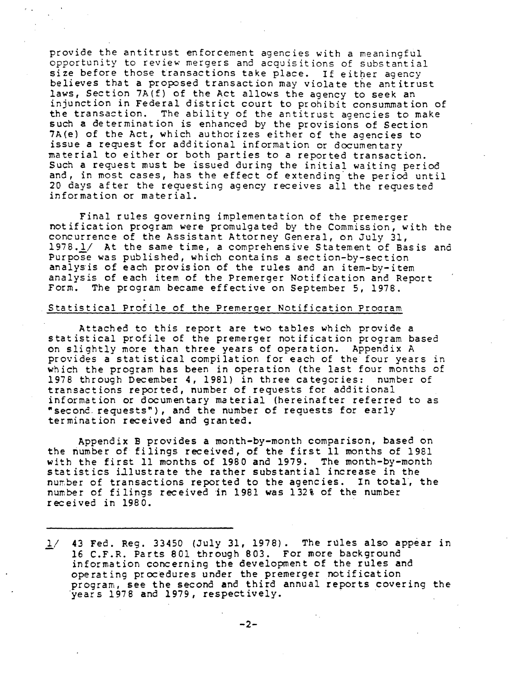provide the antitrust enforcement agencies with a meaningful opportunity to review mergers and acquisitions of substantial size before those transactions take place. If either agency believes that a proposed transaction may violate the antitrust laws, Section 7A(f} of the Act allows the agency to seek an injunction in Federal district court to prohibit consummation of the transaction. The ability of the antitrust agencies to make such a determination is enhanced by the provisions of Section 7A{e) of the Act, which authorizes either of the agencies to issue a request for additional information or documentary material to either or both parties to a reported transaction. Such a request must be issued during the initial waiting period and, in most cases, has the effect of extending the period until 20 days after the requesting agency receives all the requested information or material.

Final rules governing implementation of the premerger notification program were promulgated by the Commission, with the concurrence of the Assistant Attorney General, on July 31, 1978.1/ At the same time, a comprehensive Statement of Basis ana Purpose was published, which contains a section-by-section analysis of each provision of the rules and an item-by-item analysis of each item of the Premerger Notification and Report Form. The program became effective on September 5, 1978.

## Statistical Profile of the Premerger Notification Prooram

Attached to this report are two tables which provide a statistical profile of the premerger notification program based on slightly more than three years of operation. Appendix A provides a statistical compilation for each of the four years in which the program has been in operation (the last four months of 1978 through December 4, 1981) in three categories: number of transactions reported, number of requests for additional information or documentary material {hereinafter referred to as "second. requests"), and the number of requests for early termination received and granted.

Appendix B provides a month-by-month comparison, based on the number of filings received, of the first 11 months of 1981 with the first 11 months of 1980 and 1979. The month-by-month statistics illustrate the rather substantial increase in the number of transactions reported to the agencies. In total, the number of filings received in 1981 was 132% of the number received in 1980.

*l/* 43 Fed. Reg. 33450 (July 31, 1978). The rules also appear in information concerning the development of the rules and operating procedures under the premerger notification program, see the second and third annual reports covering the ·years 1978 and 1979, respectively.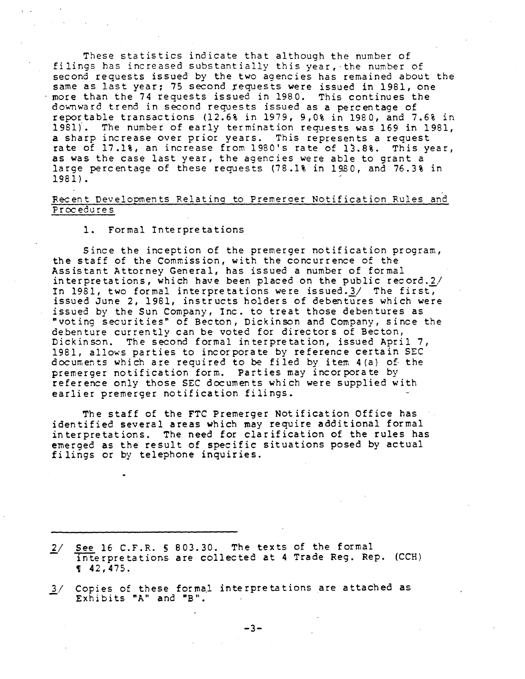These statistics indicate that although the number of filings has increased substantially this year, ·the number of second requests issued by the two agencies has remained about the same as last year; 75 second requests were issued in 1981, one more than the 74 requests issued in 1980. This continues the downward trend in second requests issued as a percentage of reportable transactions (12.6% in 1979, 9,0% in 1980, and 7.6% in 1981). The number of early termination requests was 169 in 1981, a sharp increase over prior years. This represents a request rate of 17.1%, an increase from 1980's rate of lJ.8%. This year, as was the case last year, the agencies were able to grant a large percentage of these requests (78.1% in 1980, and 76.3% in 1981).

### Recent Developments Relating to Premeroer Notification Rules and Procedures

# 1. Formal Interpretations

Since the inception of the premerger notification program, the staff of the Commission, with the concurrence of the Assistant Attorney General, has issued a number of formal interpretations, which have been placed on the public record.2/ In  $1981$ , two formal interpretations were issued. $3/$  The first, issued June 2, 1981, instructs holders of debentures which were issued by the Sun Company, Inc. to treat those debentures as "voting securities" of Becton, Dickinson and Company, since the debenture currently can be voted for directors of Becton, Dickinson. The second formal interpretation, issued April 7, 1981, allows parties to incorporate by reference certain SEC documents which are required to be filed by item 4(a) of. the premerger notification form. Parties may incorporate by reference only those SEC documents which were supplied with earlier premerger notification filings.

The staff of the FTC Premerger Notification Office has identified several areas which may require additional formal interpretations. The need for clarification of the rules has emerged as the result of specific situations posed by actual filings or by telephone inquiries.

- 2/ See 16 C.F.R. § 803.30. The texts of the formal Interpretations are collected at 4 Trade Reg. Rep. (CCH)<br>¶ 42,475.
- 1/ Copies of these formal interpretations are attached as Exhibits "A" and "B".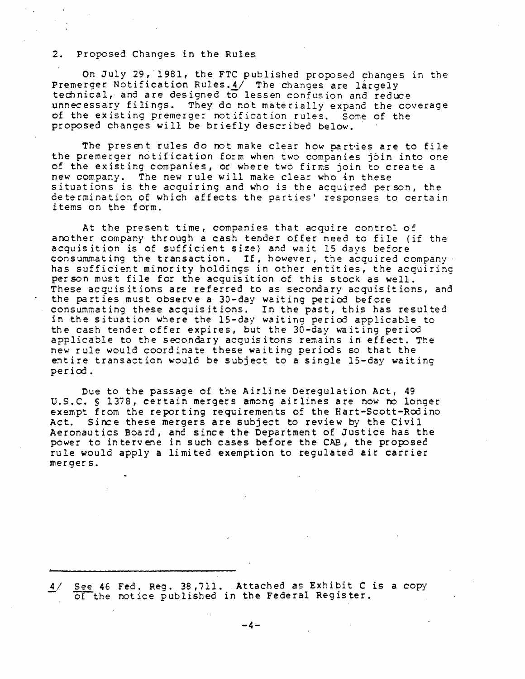### 2. Proposed Changes in the Rules.

On July 29, 1981, the FTC published proposed changes in the Premerger Notification Rules. 4/ The changes are largely technical, and are designed to lessen confusion and reduce unnecessary filings. They do not materially expand the coverage of the existing premerger notification rules. Some of the proposed changes will be briefly described below.

The present rules do not make clear how parties are to file the premerger notification form when two companies join into one of the existing companies, or where two firms join to create a new company. The new rule will make clear who in these situations is the acquiring and who is the acquired person, the determination of which affects the parties' responses to certain items on the form.

At the present time, companies that acquire control of another company through a cash tender offer need to file (if the acquisition is of sufficient size) and wait 15 days before consummating the transaction. If, however, the acquired company has sufficient minority holdings in other entities, the acquiring person must file for the acquisition of this stock as well. These acquisitions are referred to as secondary acquisitions, and the parties must observe a 30-day waiting period before consummating these acquisitions. In the past, this has resulted in the situation where the 15-day waiting period applicable to the cash tender offer expires, but the 30-day waiting period applicable to the secondary acquisitons remains in effect. The new rule would coordinate these waiting periods so that the entire transaction would be subject to a single 15-day waiting perioo.

Due to the passage of the Airline Deregulation Act, 49 U.S.C. § 1378, certain mergers among airlines are now ro longer exempt from the reporting requirements of the Hart-Scott-Rodino Act. Since these mergers are subject to review by the Civil Aeronautics Board, and since the Department of Justice has the power to intervene in such cases before the CAB, the proposed rule would apply a limited exemption to regulated air carrier mergers.

 $\frac{4}{\sqrt{5}}$  See 46 Fed. Reg. 38,711. Attached as Exhibit C is a copy of the notice published in the Federal Register.

-4-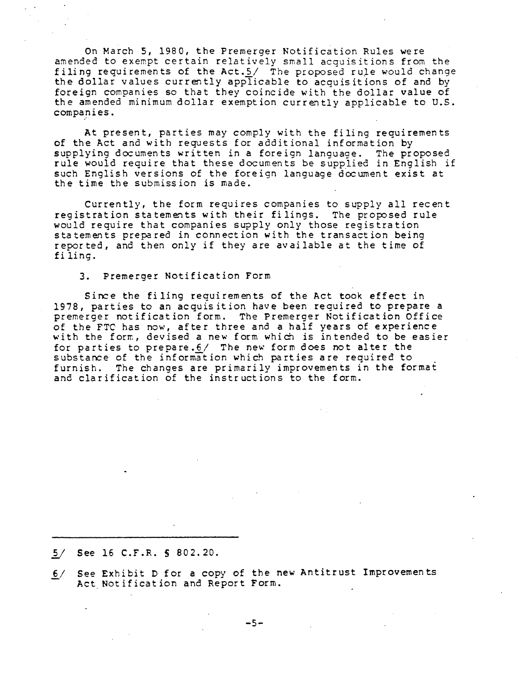On March 5, 1980, the Premerger Notification Rules were amended to exempt certain relatively small acquisitions from the filing requirements of the Act. $5/$  The proposed rule would change the dollar values currently applicable to acquisitions of and by foreign companies so that they coincide with the dollar value of the amended minimum dollar exemption currently applicable to U.S. companies.

At present, parties may comply with the filing requirements of the Act and with requests for additional information by supplying documents written in a foreign language. The proposed rule would require that these documents be supplied in English if such English versions of the foreign language  $d$ ocument exist at the time the submission is made.

Currently, the form requires companies to supply all recent registration statements with their filings. The proposed rule would require that companies supply only those registration statements prepared in connection with the transaction being reported, and then only if they are available at the time of filing.

#### 3. Premerger Notification Form

Since the filing requirements of the Act took effect in 1978, parties to an acquisition have been required to prepare a premerger notification form. The Premerger Notification Office of the FTC has now, after three and a half years of experience with the form, devised a new form which is intended to be easier for parties to prepare. $6/$  The new form does not alter the substance of the information which parties are required to furnish. The changes are primarily improvements in the format and clarification of the instructions to the form.

See 16 C.F.R. § 802.20.

 $6/$  See Exhibit D for a copy of the new Antitrust Improvements Act Notification and Report Form.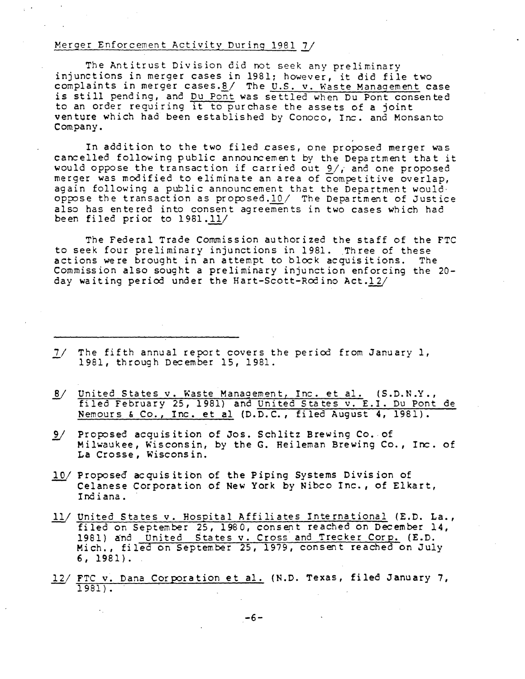# Merger Enforcement Activity During 1981 *1J*

The Antitrust Division did not seek any preliminary injunctions in merger cases in 1981; however, it did file two complaints in merger cases. $8/$  The U.S. v. Waste Management case is still pending, and Du Pont was settled when Du Pont consented to an order requiring it to purchase the assets of a joint venture which had been established by Conoco, Inc. and Monsanto Company.

In addition to the two filed cases, one proposed merger was cancelled following public announcement by the Department that it would oppose the transaction if carried out  $9/$ , and one proposed merger was modified to eliminate an area of competitive overlap, again following a public announcement that the Department would· oppose the transaction as proposed.10/ The Department of Justice also has entered into consent agreements in two cases which had been filed prior to 1981.11/

The Federal Trade Commission authorized the staff of the FTC to seek four preliminary injunctions in 1981. Three of these actions were brought in an attempt to block acquisitions. The Commission also sought a preliminary injunction enforcing the 20 day waiting period under the Hart-Scott-Red i no Act *·ill* 

- *1.1* The fifth annual report covers the period from January 1, 1981, through December 15, 1981.
- United States v. Waste Management, Inc. et al. (S.D.N.Y.,  $\frac{8}{ }$ filed February 25, 1981) and United States v. E.I. Du Pont de Nemours & Co., Inc. et al (D.D.C., filed August 4, 1981).
- 9/ Proposed acquisition of Jos. Schlitz Brewing Co. of Milwaukee, Wisconsin, by the G. Heileman Brewing Co., Inc. of La Crosse, Wisconsin.
- 10/ Proposed acquisition of the Piping Systems Division of Celanese Corporation of New York by Nibco Inc., of Elkart, Indiana.
- United States v. Hospital Affiliates International (E.D. La., filed on September 25, 1980, consent reached on December 14, 1981) and United States v. Cross and Trecker Corp. (E.D. Mich., filed on September 25, 1979, consent reached on July 6, 1981).
- 12/ FTC v. Dana Corporation et al. (N.D. Texas, filed January 7, 1981) .

-6-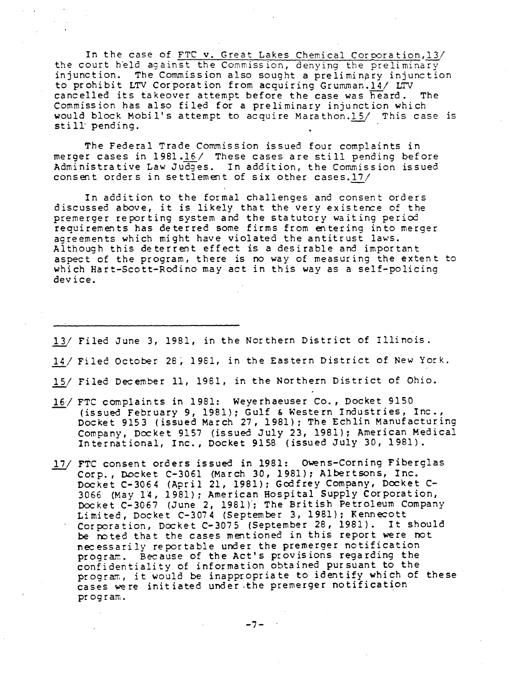In the case of FTC v. Great Lakes Chemical Corporation, 13/ the court held against the Commission, denying the preliminary injunction. The Commission also sought a preliminary injunction to prohibit LTV Corporation from acquiring Grumman.14/ LTV cancelled its takeover attempt before the case was heard. The Commission has also filed for a preliminary injunction which would block Mobil's attempt to acquire Marathon.15/ This case is still pending.

The Federal Trade Commission issued four complaints in merger cases in 1981.16/ These cases are still pending before Administrative Law Judges. In addition, the Commission issued consent orders in settlement of six other cases.17/

In addition to the formal challenges and consent orders discussed above, it is likely that the very existence of the premerger reporting system and the statutory waiting period requirements has deterred some firms from entering into merger agreements which might have violated the antitrust laws. Although this deterrent effect is a desirable and important aspect of the program, there is no way of measuring the extent to which Hart-Scott-Rodino may act in this way as a self-policing device.

- *1lJ* Filed June 3, 1981, in the Northern District of Illinois.
- 14/ Filed October 28, 1981, in the Eastern District of New York.
- 15/ Filed December 11, 1981, in the Northern District of Ohio.
- FTC complaints in 1981: Weyerhaeuser Co., Docket 9150 ( issued February 9, 1981); Gulf & Western Industries, Inc.,<br>Docket 9153 (issued March 27, 1981); The Echlin Manufacturing Company, Docket 9157 (issued July 23, 1981): American Medical International, Inc., Docket 9158 (issued July 30, 1981).
- 17/ FTC consent orders issued in 1981: Owens-Corning Fiberglas Corp., Docket C-3061 (March 30, 1981}: Albertsons, Inc. Docket C-3064 (April 21, 1981): Gcdfrey Company, Docket C-3066 (May 14, 1981); American Hospital Supply Corporation, Docket C-3067 (June 2, 1981); The British Petroleum Company Limited, Docket C-3074 (September 3, 1981); Kennecott Corporation, Docket C-3075 (September 28, 1981). It should be roted that the cases mentioned in this report were not necessarily reportable under the premerger notification program. Because of the Act's provisions regarding the confidentiality of information obtained pursuant to the program, it would be inappropriate to identify which of these cases were initiated under the premerger notification program.

-7-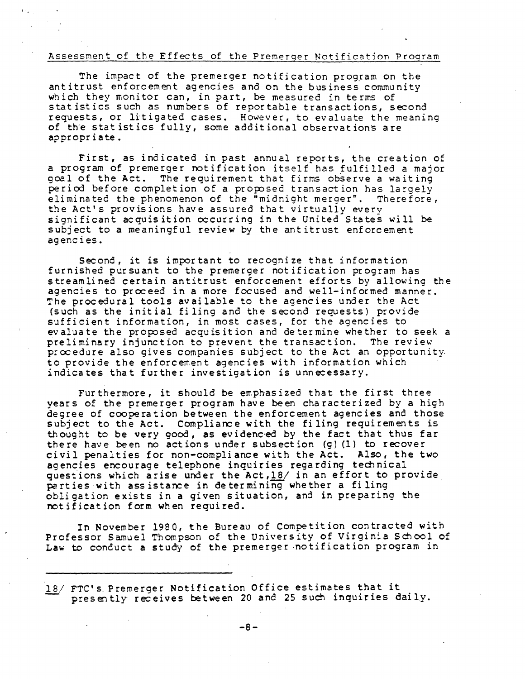### Assessment of the Effects of the Premerger Notification Program

 $\ddot{\mathbf{r}}$ 

The impact of the premerger notification program on the antitrust enforcement agencies and on the business community which they monitor can, in part, be measured in terms of statistics such as numbers of reportable transactions, second requests, or litigated cases. However, to evaluate the meaning of the statistics fully, some additional observations are appropriate.

First, as indicated in past annual reports, the creation of a program of premerger notification itself has fulfilled a major goal of the Act. The requirement that firms observe a waiting period before completion of a proposed transaction has largely eliminated the phenomenon of the "midnight merger". Therefore, the Act's provisions have assured that virtually every significant acquisition occurring in the United States will be subject to a meaningful review by the antitrust enforcement agencies.

Second, it is important to recognize that information furnished pursuant to the premerger notification program has streamlined certain antitrust enforcement efforts by allowing the agencies to proceed in a more focused and well-informed manner. The procedural tools available to the agencies under the Act (such as the initial filing and the second requests) provide sufficient information, in most cases, for the agencies to evaluate the proposed acquisition and determine whether to seek a preliminary injunction to prevent the transaction. The review procedure also gives companies subject to the Act an opportunity. to provide the enforcement agencies with information which indicates that further investigation is unnecessary.

Furthermore, it should be emphasized that the first three years of the premerger program have been characterized by a high degree of cooperation between the enforcement agencies and those subject to the Act. Compliance with the filing requirements is thought to be very good, as evidenced by the fact that thus far there have been no actions under subsection (g) (1) to recover civil penalties for non-compliance with the Act. Also, the two agencies encourage telephone inquiries regarding technical questions which arise under the Act, 18/ in an effort to provide parties with assistance in determining whether a filing obligation exists in a given situation, and in preparing the notification form when required.

In November 1980, the Bureau of Competition contracted with Professor Samuel Thompson of the University of Virginia School of Law to conduct a study of the premerger notification program in

<sup>18/</sup> FTC's Premerger Notification Office estimates that it presently receives between 20 and 25 such inquiries daily.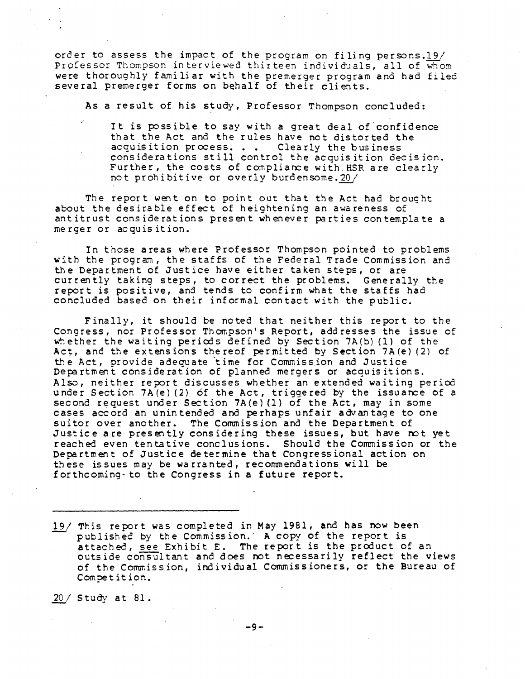order to assess the impact of the program on filing persons.19/ Professor Thompson interviewed thirteen individuals, all of whom were thoroughly familiar with the premerger program and had filed several premerger forms on behalf of their clients.

As a result of his study, Professor Thompson concluded:

It is possible to say with a great deal of confidence that the Act and the rules have not distorted the acquisition process.  $\blacksquare$ . Clearly the business considerations still control the acquisition decision. Further, the costs of compliance with HSR are clearly not prohibitive or overly burden some. 20/

The report went on to point out that the Act had brought about the desirable effect of heightening an awareness of antitrust considerations present whenever parties contemplate a merger or acquisition.

In those areas where Professor Thompson pointed to problems with the program, the staffs of the Federal Trade Commission and the Department of Justice have either taken steps, or are currently taking steps, to correct the problems. Generally the report is positive, and tends to confirm what the staffs had concluded based on their informal contact with the public.

Finally, it should be noted that neither this report to the Congress, nor Professor Thompson's Report, addresses the issue of whether the waiting periods defined by Section 7A(b) (1) of the Act, and the extensions thereof permitted by Section  $7A(e)$  (2) of the Act, provide adequate time for Commission and Justice Department consideration of planned mergers or acquisitions. Also, neither report discusses whether an extended waiting period under Section 7A $(e)$  (2) of the Act, triggered by the issuance of a second request under Section  $7A(e)$  (1) of the Act, may in some cases accord an unintended and perhaps unfair advantage to one suitor over another. The Commission and the Department of Justice are presently considering these issues, but have rot yet reached even tentative conclusions. Should the Commission or the Department of Justice determine that Congressional action on these issues may be warranted, recommendations will be forthcoming- to the Congress in a future report.

19/ This report was completed in May 1981, and has now been published by the Commission. A copy of the report is attached, see Exhibit E. The report is the product of an outside consultant and does not necessarily reflect the views of the Commission, individual Commissioners, or the Bureau of Competition.

*1Q.,!* Study at 81.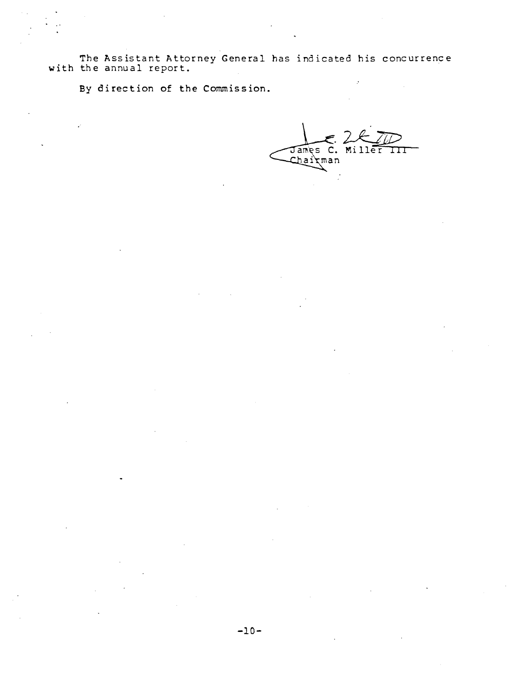The Assistant Attorney General has indicated his concurrence with the annual report.

By direction of the Commission.

James C. Miller  $\overline{\rm \bf 1\bf 1}$ hairman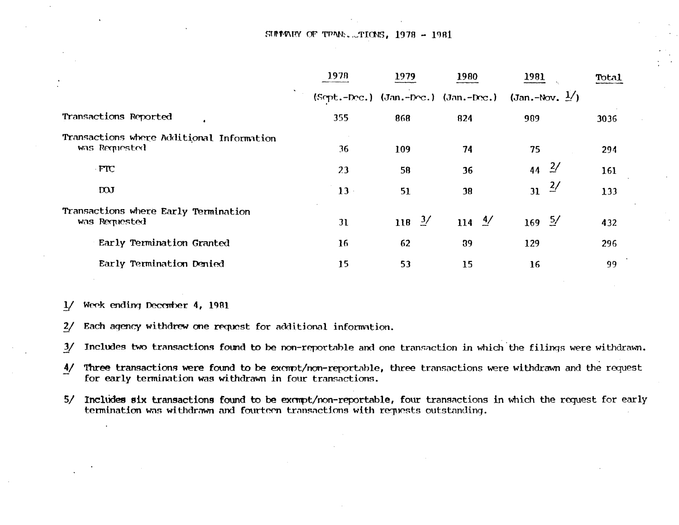# $SIPM'$  Of TPAN:  $TIO'S$ , 1978 - 1981

|                                                            | 1978 | 1979              | 1980              | 1981                                                              | Total |
|------------------------------------------------------------|------|-------------------|-------------------|-------------------------------------------------------------------|-------|
|                                                            |      |                   |                   | $(Sopt.-Dec.)$ (Jan.-Doc.) (Jan.-Doc.) (Jan.-Nov. $\frac{1}{2}$ ) |       |
| Transactions Reported                                      | 355  | 868               | 824               | 909                                                               | 3036  |
| Transactions where Additional Information<br>was Requested | 36   | 109               | 74                | 75                                                                | 294   |
| FTC                                                        | 23   | 58                | 36                | $\frac{2}{ }$<br>44                                               | 161   |
| <b>DOJ</b>                                                 | 13   | 51                | 38                | $\frac{2}{ }$<br>31                                               | 133   |
| Transactions where Early Termination<br>was Requested      | 31   | 118 $\frac{3}{2}$ | 114 $\frac{4}{ }$ | $169 \frac{5}{ }$                                                 | 432   |
| Early Termination Granted                                  | 16   | 62                | 39                | 129                                                               | 296   |
| Early Termination Denied                                   | 15   | 53                | 15                | 16                                                                | 99    |

1/ Week ending December 4, 1981

2/ Each agency withdrew one request for additional information.

*Y* Includes two transactions found to be non-reportable and one transaction in which the filings were withdrawn.

- 1/ Three transactions were found to be excmpt/non-reportable, three transactions were withdrawn and the request for early termination was withdrawn in four transactions.
- 5/ Includes six transactions found to be exampt/non-reportable, four transactions in which the request for early termination was withdrawn and fourteen transactions with requests outstanding.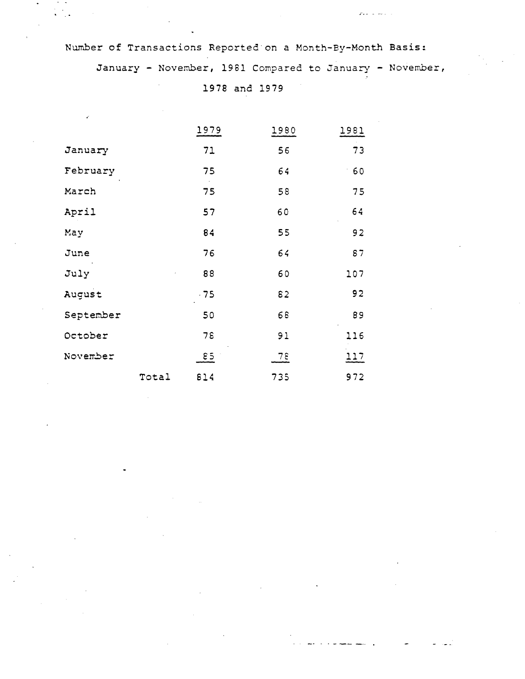Number of Transactions Reported·on a Month-By-Month Basis: January - November, 1981 Compared to January - November,

1978 and 1979

|           |       | 1979         | 1980 | 1981        |
|-----------|-------|--------------|------|-------------|
| January   |       | 71           | 56   | 73          |
| February  |       | 75           | 64   | 60          |
| March     |       | 75           | 58   | 75          |
| April     |       | 57           | 60   | 64          |
| May       |       | 84           | 55   | 92          |
| June      |       | 76           | 64   | 87          |
| July      |       | 88           | 60   | 107         |
| August    |       | $-75$        | 82   | 92          |
| September |       | 50           | 68   | 89          |
| October   |       | 78           | 91   | 116         |
| November  |       | $\epsilon$ 5 | 78   | <u> 117</u> |
|           | Total | 814          | 735  | 972         |

•'